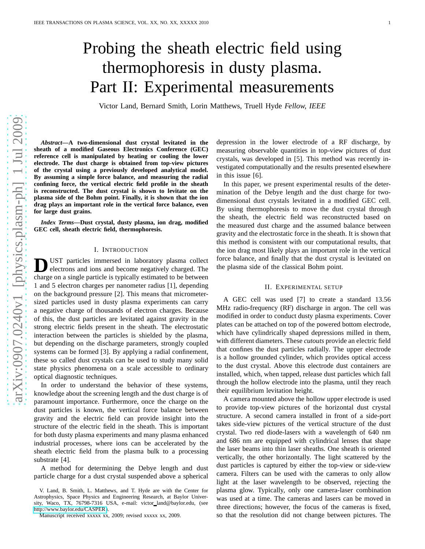# Probing the sheath electric field using thermophoresis in dusty plasma. Part II: Experimental measurements

Victor Land, Bernard Smith, Lorin Matthews, Truell Hyde *Fellow, IEEE*

*Abstract***—A two-dimensional dust crystal levitated in the sheath of a modified Gaseous Electronics Conference (GEC) reference cell is manipulated by heating or cooling the lower electrode. The dust charge is obtained from top-view pictures of the crystal using a previously developed analytical model. By assuming a simple force balance, and measuring the radial confining force, the vertical electric field profile in the sheath is reconstructed. The dust crystal is shown to levitate on the plasma side of the Bohm point. Finally, it is shown that the ion drag plays an important role in the vertical force balance, even for large dust grains.**

*Index Terms***—Dust crystal, dusty plasma, ion drag, modified GEC cell, sheath electric field, thermophoresis.**

### I. INTRODUCTION

**D** UST particles immersed in laboratory plasma collect electrons and ions and become negatively charged. The charge on a single particle is typically estimated to be between UST particles immersed in laboratory plasma collect electrons and ions and become negatively charged. The 1 and 5 electron charges per nanometer radius [1], depending on the background pressure [2]. This means that micrometersized particles used in dusty plasma experiments can carry a negative charge of thousands of electron charges. Because of this, the dust particles are levitated against gravity in the strong electric fields present in the sheath. The electrostatic interaction between the particles is shielded by the plasma, but depending on the discharge parameters, strongly coupled systems can be formed [3]. By applying a radial confinement, these so called dust crystals can be used to study many solid state physics phenomena on a scale accessible to ordinary optical diagnostic techniques.

In order to understand the behavior of these systems, knowledge about the screening length and the dust charge is of paramount importance. Furthermore, once the charge on the dust particles is known, the vertical force balance between gravity and the electric field can provide insight into the structure of the electric field in the sheath. This is important for both dusty plasma experiments and many plasma enhanced industrial processes, where ions can be accelerated by the sheath electric field from the plasma bulk to a processing substrate [4].

A method for determining the Debye length and dust particle charge for a dust crystal suspended above a spherical depression in the lower electrode of a RF discharge, by measuring observable quantities in top-view pictures of dust crystals, was developed in [5]. This method was recently investigated computationally and the results presented elsewhere in this issue [6].

In this paper, we present experimental results of the determination of the Debye length and the dust charge for twodimensional dust crystals levitated in a modified GEC cell. By using thermophoresis to move the dust crystal through the sheath, the electric field was reconstructed based on the measured dust charge and the assumed balance between gravity and the electrostatic force in the sheath. It is shown that this method is consistent with our computational results, that the ion drag most likely plays an important role in the vertical force balance, and finally that the dust crystal is levitated on the plasma side of the classical Bohm point.

# II. EXPERIMENTAL SETUP

A GEC cell was used [7] to create a standard 13.56 MHz radio-frequency (RF) discharge in argon. The cell was modified in order to conduct dusty plasma experiments. Cover plates can be attached on top of the powered bottom electrode, which have cylindrically shaped depressions milled in them, with different diameters. These *cutouts* provide an electric field that confines the dust particles radially. The upper electrode is a hollow grounded cylinder, which provides optical access to the dust crystal. Above this electrode dust containers are installed, which, when tapped, release dust particles which fall through the hollow electrode into the plasma, until they reach their equilibrium levitation height.

A camera mounted above the hollow upper electrode is used to provide top-view pictures of the horizontal dust crystal structure. A second camera installed in front of a side-port takes side-view pictures of the vertical structure of the dust crystal. Two red diode-lasers with a wavelength of 640 nm and 686 nm are equipped with cylindrical lenses that shape the laser beams into thin laser sheaths. One sheath is oriented vertically, the other horizontally. The light scattered by the dust particles is captured by either the top-view or side-view camera. Filters can be used with the cameras to only allow light at the laser wavelength to be observed, rejecting the plasma glow. Typically, only one camera-laser combination was used at a time. The cameras and lasers can be moved in three directions; however, the focus of the cameras is fixed, so that the resolution did not change between pictures. The

V. Land, B. Smith, L. Matthews, and T. Hyde are with the Center for Astrophysics, Space Physics and Engineering Research, at Baylor University, Waco, TX, 76798-7316 USA, e-mail: victor land@baylor.edu, (see [http://www.baylor.edu/CASPER\)](http://www.baylor.edu/CASPER).

Manuscript received xxxxx xx, 2009; revised xxxxx xx, 2009.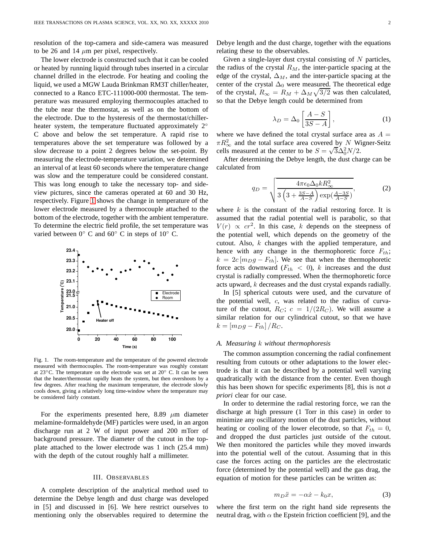resolution of the top-camera and side-camera was measured to be 26 and 14  $\mu$ m per pixel, respectively.

The lower electrode is constructed such that it can be cooled or heated by running liquid through tubes inserted in a circular channel drilled in the electrode. For heating and cooling the liquid, we used a MGW Lauda Brinkman RM3T chiller/heater, connected to a Ranco ETC-111000-000 thermostat. The temperature was measured employing thermocouples attached to the tube near the thermostat, as well as on the bottom of the electrode. Due to the hysteresis of the thermostat/chillerheater system, the temperature fluctuated approximately 2° C above and below the set temperature. A rapid rise to temperatures above the set temperature was followed by a slow decrease to a point 2 degrees below the set-point. By measuring the electrode-temperature variation, we determined an interval of at least 60 seconds where the temperature change was slow and the temperature could be considered constant. This was long enough to take the necessary top- and sideview pictures, since the cameras operated at 60 and 30 Hz, respectively. Figure [1](#page-1-0) shows the change in temperature of the lower electrode measured by a thermocouple attached to the bottom of the electrode, together with the ambient temperature. To determine the electric field profile, the set temperature was varied between  $0°$  C and  $60°$  C in steps of  $10°$  C.



<span id="page-1-0"></span>Fig. 1. The room-temperature and the temperature of the powered electrode measured with thermocouples. The room-temperature was roughly constant at 23◦C. The temperature on the electrode was set at 20◦ C. It can be seen that the heater/thermostat rapidly heats the system, but then overshoots by a few degrees. After reaching the maximum temperature, the electrode slowly cools down, giving a relatively long time-window where the temperature may be considered fairly constant.

For the experiments presented here, 8.89  $\mu$ m diameter melamine-formaldehyde (MF) particles were used, in an argon discharge run at 2 W of input power and 200 mTorr of background pressure. The diameter of the cutout in the topplate attached to the lower electrode was 1 inch (25.4 mm) with the depth of the cutout roughly half a millimeter.

#### III. OBSERVABLES

A complete description of the analytical method used to determine the Debye length and dust charge was developed in [5] and discussed in [6]. We here restrict ourselves to mentioning only the observables required to determine the Debye length and the dust charge, together with the equations relating these to the observables.

Given a single-layer dust crystal consisting of  $N$  particles, the radius of the crystal  $R_M$ , the inter-particle spacing at the edge of the crystal,  $\Delta_M$ , and the inter-particle spacing at the center of the crystal  $\Delta_0$  were measured. The theoretical edge of the crystal,  $R_{\infty} = R_M + \Delta_M \sqrt{3/2}$  was then calculated, so that the Debye length could be determined from

<span id="page-1-2"></span>
$$
\lambda_D = \Delta_0 \left[ \frac{A - S}{3S - A} \right],\tag{1}
$$

where we have defined the total crystal surface area as  $A =$  $\pi R_{\infty}^2$  and the total surface area covered by N Wigner-Seitz cells measured at the center to be  $S = \sqrt{3}\Delta_0^2 N/2$ .

After determining the Debye length, the dust charge can be calculated from

<span id="page-1-3"></span>
$$
q_D = \sqrt{\frac{4\pi\epsilon_0\Delta_0 k R_{\infty}^2}{3\left(3 + \frac{3S - A}{A - S}\right)\exp(\frac{A - 3S}{A - S})}},\tag{2}
$$

where  $k$  is the constant of the radial restoring force. It is assumed that the radial potential well is parabolic, so that  $V(r) \propto cr^2$ . In this case, k depends on the steepness of the potential well, which depends on the geometry of the cutout. Also,  $k$  changes with the applied temperature, and hence with any change in the thermophoretic force  $F_{th}$ ;  $k = 2c [m_D g - F_{th}]$ . We see that when the thermophoretic force acts downward  $(F_{th} < 0)$ , k increases and the dust crystal is radially compressed. When the thermophoretic force acts upward, k decreases and the dust crystal expands radially.

In [5] spherical cutouts were used, and the curvature of the potential well, c, was related to the radius of curvature of the cutout,  $R_C$ ;  $c = 1/(2R_C)$ . We will assume a similar relation for our cylindrical cutout, so that we have  $k = [m_D g - F_{th}] / R_C.$ 

#### *A. Measuring* k *without thermophoresis*

The common assumption concerning the radial confinement resulting from cutouts or other adaptations to the lower electrode is that it can be described by a potential well varying quadratically with the distance from the center. Even though this has been shown for specific experiments [8], this is not *a priori* clear for our case.

In order to determine the radial restoring force, we ran the discharge at high pressure (1 Torr in this case) in order to minimize any oscillatory motion of the dust particles, without heating or cooling of the lower elecotrode, so that  $F_{th} = 0$ , and dropped the dust particles just outside of the cutout. We then monitored the particles while they moved inwards into the potential well of the cutout. Assuming that in this case the forces acting on the particles are the electrostatic force (determined by the potential well) and the gas drag, the equation of motion for these particles can be written as:

<span id="page-1-1"></span>
$$
m_D \ddot{x} = -\alpha \dot{x} - k_0 x,\tag{3}
$$

where the first term on the right hand side represents the neutral drag, with  $\alpha$  the Epstein friction coefficient [9], and the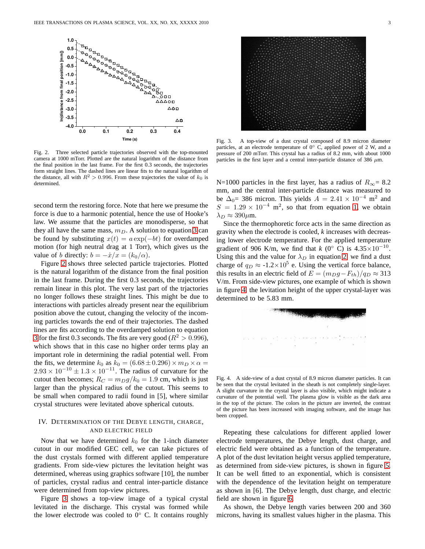

<span id="page-2-0"></span>Fig. 2. Three selected particle trajectories observed with the top-mounted camera at 1000 mTorr. Plotted are the natural logarithm of the distance from the final position in the last frame. For the first 0.3 seconds, the trajectories form straight lines. The dashed lines are linear fits to the natural logarithm of the distance, all with  $R^2 > 0.996$ . From these trajectories the value of  $k_0$  is determined.

second term the restoring force. Note that here we presume the force is due to a harmonic potential, hence the use of Hooke's law. We assume that the particles are monodisperse, so that they all have the same mass,  $m_D$ . A solution to equation [3](#page-1-1) can be found by substituting  $x(t) = a \exp(-bt)$  for overdamped motion (for high neutral drag at 1 Torr), which gives us the value of b directly:  $b = -\dot{x}/x = (k_0/\alpha)$ .

Figure [2](#page-2-0) shows three selected particle trajectories. Plotted is the natural logarithm of the distance from the final position in the last frame. During the first 0.3 seconds, the trajectories remain linear in this plot. The very last part of the trjactories no longer follows these straight lines. This might be due to interactions with particles already present near the equilibrium position above the cutout, changing the velocity of the incoming particles towards the end of their trajectories. The dashed lines are fits according to the overdamped solution to equation [3](#page-1-1) for the first 0.3 seconds. The fits are very good ( $R^2 > 0.996$ ), which shows that in this case no higher order terms play an important role in determining the radial potential well. From the fits, we determine  $k_0$  as  $k_0 = (6.68 \pm 0.296) \times m_D \times \alpha =$  $2.93 \times 10^{-10} \pm 1.3 \times 10^{-11}$ . The radius of curvature for the cutout then becomes;  $R_C = m_D g / k_0 = 1.9$  cm, which is just larger than the physical radius of the cutout. This seems to be small when compared to radii found in [5], where similar crystal structures were levitated above spherical cutouts.

# IV. DETERMINATION OF THE DEBYE LENGTH, CHARGE, AND ELECTRIC FIELD

Now that we have determined  $k_0$  for the 1-inch diameter cutout in our modified GEC cell, we can take pictures of the dust crystals formed with different applied temperature gradients. From side-view pictures the levitation height was determined, whereas using graphics software [10], the number of particles, crystal radius and central inter-particle distance were determined from top-view pictures.

Figure [3](#page-2-1) shows a top-view image of a typical crystal levitated in the discharge. This crystal was formed while the lower electrode was cooled to  $0°$  C. It contains roughly



Fig. 3. A top-view of a dust crystal composed of 8.9 micron diameter particles, at an electrode temperature of  $0^{\circ}$  C, applied power of 2 W, and a pressure of 200 mTorr. This crystal has a radius of 8.2 mm, with about 1000 particles in the first layer and a central inter-particle distance of 386  $\mu$ m.

<span id="page-2-1"></span>N=1000 particles in the first layer, has a radius of  $R_{\infty}$ = 8.2 mm, and the central inter-particle distance was measured to be  $\Delta_0$  = 386 micron. This yields  $A = 2.41 \times 10^{-4}$  m<sup>2</sup> and  $S = 1.29 \times 10^{-4}$  m<sup>2</sup>, so that from equation [1,](#page-1-2) we obtain  $\lambda_D \approx 390 \mu \text{m}$ .

Since the thermophoretic force acts in the same direction as gravity when the electrode is cooled, *k* increases with decreasing lower electrode temperature. For the applied temperature gradient of 906 K/m, we find that *k* (0° C) is  $4.35 \times 10^{-10}$ . Using this and the value for  $\lambda_D$  in equation [2,](#page-1-3) we find a dust charge of  $q_D \approx -1.2 \times 10^5$  e. Using the vertical force balance, this results in an electric field of  $E = (m_D g - F_{th})/q_D \approx 313$ V/m. From side-view pictures, one example of which is shown in figure [4,](#page-2-2) the levitation height of the upper crystal-layer was determined to be 5.83 mm.



<span id="page-2-2"></span>Fig. 4. A side-view of a dust crystal of 8.9 micron diameter particles. It can be seen that the crystal levitated in the sheath is not completely single-layer. A slight curvature in the crystal layer is also visible, which might indicate a curvature of the potential well. The plasma glow is visible as the dark area in the top of the picture. The colors in the picture are inverted, the contrast of the picture has been increased with imaging software, and the image has been cropped.

Repeating these calculations for different applied lower electrode temperatures, the Debye length, dust charge, and electric field were obtained as a function of the temperature. A plot of the dust levitation height versus applied temperature, as determined from side-view pictures, is shown in figure [5.](#page-3-0) It can be well fitted to an exponential, which is consistent with the dependence of the levitation height on temperature as shown in [6]. The Debye length, dust charge, and electric field are shown in figure [6.](#page-3-1)

As shown, the Debye length varies between 200 and 360 microns, having its smallest values higher in the plasma. This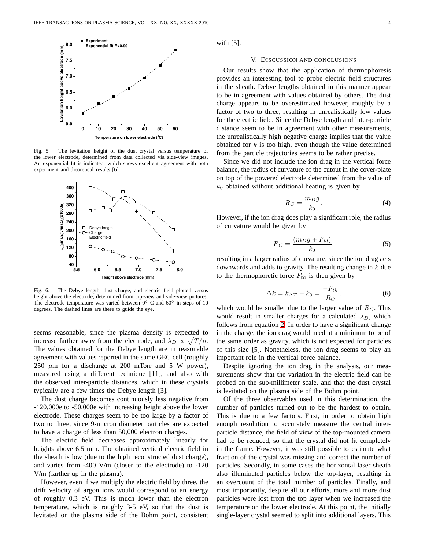

<span id="page-3-0"></span>Fig. 5. The levitation height of the dust crystal versus temperature of the lower electrode, determined from data collected via side-view images. An exponential fit is indicated, which shows excellent agreement with both experiment and theoretical results [6].



<span id="page-3-1"></span>Fig. 6. The Debye length, dust charge, and electric field plotted versus height above the electrode, determined from top-view and side-view pictures. The electrode temperature was varied between 0◦ C and 60◦ in steps of 10 degrees. The dashed lines are there to guide the eye.

seems reasonable, since the plasma density is expected to increase farther away from the electrode, and  $\lambda_D \propto \sqrt{T/n}$ . The values obtained for the Debye length are in reasonable agreement with values reported in the same GEC cell (roughly 250  $\mu$ m for a discharge at 200 mTorr and 5 W power), measured using a different technique [11], and also with the observed inter-particle distances, which in these crystals typically are a few times the Debye length [3].

The dust charge becomes continuously less negative from -120,000e to -50,000e with increasing height above the lower electrode. These charges seem to be too large by a factor of two to three, since 9-micron diameter particles are expected to have a charge of less than 50,000 electron charges.

The electric field decreases approximately linearly for heights above 6.5 mm. The obtained vertical electric field in the sheath is low (due to the high reconstructed dust charge), and varies from -400 V/m (closer to the electrode) to -120 V/m (farther up in the plasma).

However, even if we multiply the electric field by three, the drift velocity of argon ions would correspond to an energy of roughly 0.3 eV. This is much lower than the electron temperature, which is roughly 3-5 eV, so that the dust is levitated on the plasma side of the Bohm point, consistent with  $[5]$ .

#### V. DISCUSSION AND CONCLUSIONS

Our results show that the application of thermophoresis provides an interesting tool to probe electric field structures in the sheath. Debye lengths obtained in this manner appear to be in agreement with values obtained by others. The dust charge appears to be overestimated however, roughly by a factor of two to three, resulting in unrealistically low values for the electric field. Since the Debye length and inter-particle distance seem to be in agreement with other measurements, the unrealistically high negative charge implies that the value obtained for  $k$  is too high, even though the value determined from the particle trajectories seems to be rather precise.

Since we did not include the ion drag in the vertical force balance, the radius of curvature of the cutout in the cover-plate on top of the powered electrode determined from the value of  $k_0$  obtained without additional heating is given by

$$
R_C = \frac{m_D g}{k_0}.\tag{4}
$$

However, if the ion drag does play a significant role, the radius of curvature would be given by

$$
R_C = \frac{(m_D g + F_{id})}{k_0},\tag{5}
$$

resulting in a larger radius of curvature, since the ion drag acts downwards and adds to gravity. The resulting change in  $k$  due to the thermophoretic force  $F_{th}$  is then given by

$$
\Delta k = k_{\Delta T} - k_0 = \frac{-F_{th}}{R_C},\tag{6}
$$

which would be smaller due to the larger value of  $R_C$ . This would result in smaller charges for a calculated  $\lambda_D$ , which follows from equation [2.](#page-1-3) In order to have a significant change in the charge, the ion drag would need at a minimum to be of the same order as gravity, which is not expected for particles of this size [5]. Nonetheless, the ion drag seems to play an important role in the vertical force balance.

Despite ignoring the ion drag in the analysis, our measurements show that the variation in the electric field can be probed on the sub-millimeter scale, and that the dust crystal is levitated on the plasma side of the Bohm point.

Of the three observables used in this determination, the number of particles turned out to be the hardest to obtain. This is due to a few factors. First, in order to obtain high enough resolution to accurately measure the central interparticle distance, the field of view of the top-mounted camera had to be reduced, so that the crystal did not fit completely in the frame. However, it was still possible to estimate what fraction of the crystal was missing and correct the number of particles. Secondly, in some cases the horizontal laser sheath also illuminated particles below the top-layer, resulting in an overcount of the total number of particles. Finally, and most importantly, despite all our efforts, more and more dust particles were lost from the top layer when we increased the temperature on the lower electrode. At this point, the initially single-layer crystal seemed to split into additional layers. This